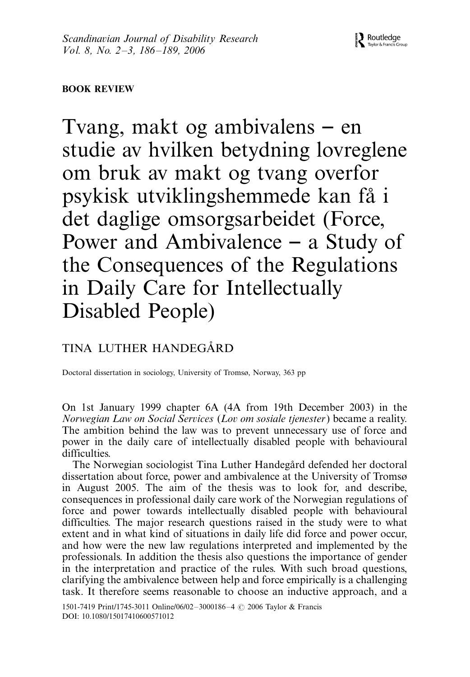## BOOK REVIEW

Tvang, makt og ambivalens  $-$  en studie av hvilken betydning lovreglene om bruk av makt og tvang overfor psykisk utviklingshemmede kan fa˚ i det daglige omsorgsarbeidet (Force, Power and Ambivalence – a Study of the Consequences of the Regulations in Daily Care for Intellectually Disabled People)

# TINA LUTHER HANDEGÅRD

Doctoral dissertation in sociology, University of Tromsø, Norway, 363 pp

On 1st January 1999 chapter 6A (4A from 19th December 2003) in the Norwegian Law on Social Services (Lov om sosiale tjenester) became a reality. The ambition behind the law was to prevent unnecessary use of force and power in the daily care of intellectually disabled people with behavioural difficulties.

The Norwegian sociologist Tina Luther Handegård defended her doctoral dissertation about force, power and ambivalence at the University of Tromsø in August 2005. The aim of the thesis was to look for, and describe, consequences in professional daily care work of the Norwegian regulations of force and power towards intellectually disabled people with behavioural difficulties. The major research questions raised in the study were to what extent and in what kind of situations in daily life did force and power occur, and how were the new law regulations interpreted and implemented by the professionals. In addition the thesis also questions the importance of gender in the interpretation and practice of the rules. With such broad questions, clarifying the ambivalence between help and force empirically is a challenging task. It therefore seems reasonable to choose an inductive approach, and a

1501-7419 Print/1745-3011 Online/06/02-3000186-4 © 2006 Taylor & Francis DOI: 10.1080/15017410600571012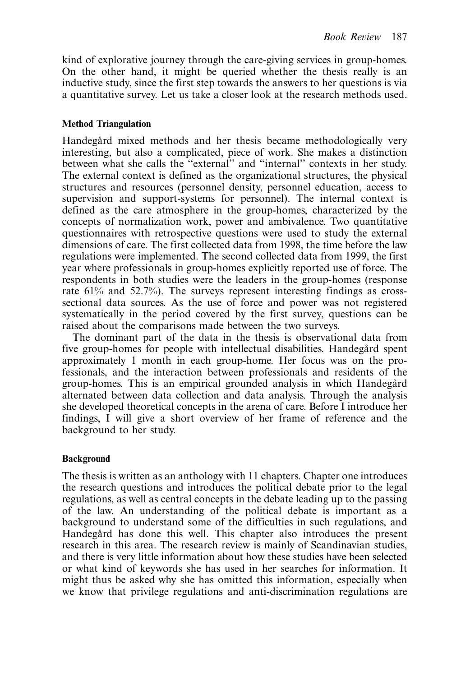kind of explorative journey through the care-giving services in group-homes. On the other hand, it might be queried whether the thesis really is an inductive study, since the first step towards the answers to her questions is via a quantitative survey. Let us take a closer look at the research methods used.

#### Method Triangulation

Handegård mixed methods and her thesis became methodologically very interesting, but also a complicated, piece of work. She makes a distinction between what she calls the ''external'' and ''internal'' contexts in her study. The external context is defined as the organizational structures, the physical structures and resources (personnel density, personnel education, access to supervision and support-systems for personnel). The internal context is defined as the care atmosphere in the group-homes, characterized by the concepts of normalization work, power and ambivalence. Two quantitative questionnaires with retrospective questions were used to study the external dimensions of care. The first collected data from 1998, the time before the law regulations were implemented. The second collected data from 1999, the first year where professionals in group-homes explicitly reported use of force. The respondents in both studies were the leaders in the group-homes (response rate 61% and 52.7%). The surveys represent interesting findings as crosssectional data sources. As the use of force and power was not registered systematically in the period covered by the first survey, questions can be raised about the comparisons made between the two surveys.

The dominant part of the data in the thesis is observational data from five group-homes for people with intellectual disabilities. Handegård spent approximately 1 month in each group-home. Her focus was on the professionals, and the interaction between professionals and residents of the group-homes. This is an empirical grounded analysis in which Handegård alternated between data collection and data analysis. Through the analysis she developed theoretical concepts in the arena of care. Before I introduce her findings, I will give a short overview of her frame of reference and the background to her study.

### Background

The thesis is written as an anthology with 11 chapters. Chapter one introduces the research questions and introduces the political debate prior to the legal regulations, as well as central concepts in the debate leading up to the passing of the law. An understanding of the political debate is important as a background to understand some of the difficulties in such regulations, and Handegård has done this well. This chapter also introduces the present research in this area. The research review is mainly of Scandinavian studies, and there is very little information about how these studies have been selected or what kind of keywords she has used in her searches for information. It might thus be asked why she has omitted this information, especially when we know that privilege regulations and anti-discrimination regulations are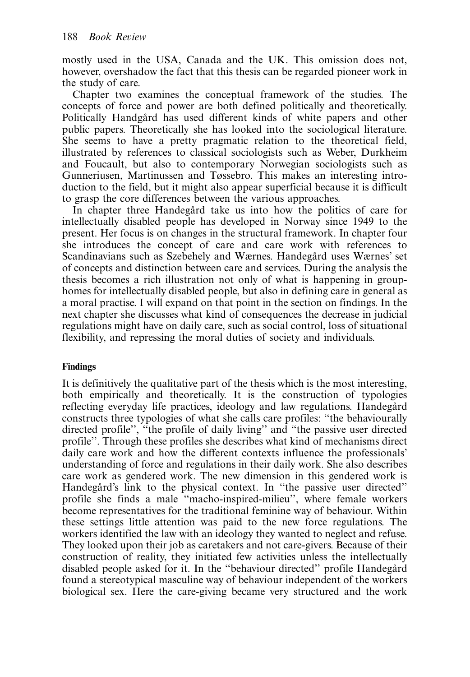mostly used in the USA, Canada and the UK. This omission does not, however, overshadow the fact that this thesis can be regarded pioneer work in the study of care.

Chapter two examines the conceptual framework of the studies. The concepts of force and power are both defined politically and theoretically. Politically Handgård has used different kinds of white papers and other public papers. Theoretically she has looked into the sociological literature. She seems to have a pretty pragmatic relation to the theoretical field, illustrated by references to classical sociologists such as Weber, Durkheim and Foucault, but also to contemporary Norwegian sociologists such as Gunneriusen, Martinussen and Tøssebro. This makes an interesting introduction to the field, but it might also appear superficial because it is difficult to grasp the core differences between the various approaches.

In chapter three Handegård take us into how the politics of care for intellectually disabled people has developed in Norway since 1949 to the present. Her focus is on changes in the structural framework. In chapter four she introduces the concept of care and care work with references to Scandinavians such as Szebehely and Wærnes. Handegård uses Wærnes' set of concepts and distinction between care and services. During the analysis the thesis becomes a rich illustration not only of what is happening in grouphomes for intellectually disabled people, but also in defining care in general as a moral practise. I will expand on that point in the section on findings. In the next chapter she discusses what kind of consequences the decrease in judicial regulations might have on daily care, such as social control, loss of situational flexibility, and repressing the moral duties of society and individuals.

## Findings

It is definitively the qualitative part of the thesis which is the most interesting, both empirically and theoretically. It is the construction of typologies reflecting everyday life practices, ideology and law regulations. Handegård constructs three typologies of what she calls care profiles: ''the behaviourally directed profile'', ''the profile of daily living'' and ''the passive user directed profile''. Through these profiles she describes what kind of mechanisms direct daily care work and how the different contexts influence the professionals' understanding of force and regulations in their daily work. She also describes care work as gendered work. The new dimension in this gendered work is Handegård's link to the physical context. In "the passive user directed" profile she finds a male ''macho-inspired-milieu'', where female workers become representatives for the traditional feminine way of behaviour. Within these settings little attention was paid to the new force regulations. The workers identified the law with an ideology they wanted to neglect and refuse. They looked upon their job as caretakers and not care-givers. Because of their construction of reality, they initiated few activities unless the intellectually disabled people asked for it. In the "behaviour directed" profile Handegård found a stereotypical masculine way of behaviour independent of the workers biological sex. Here the care-giving became very structured and the work